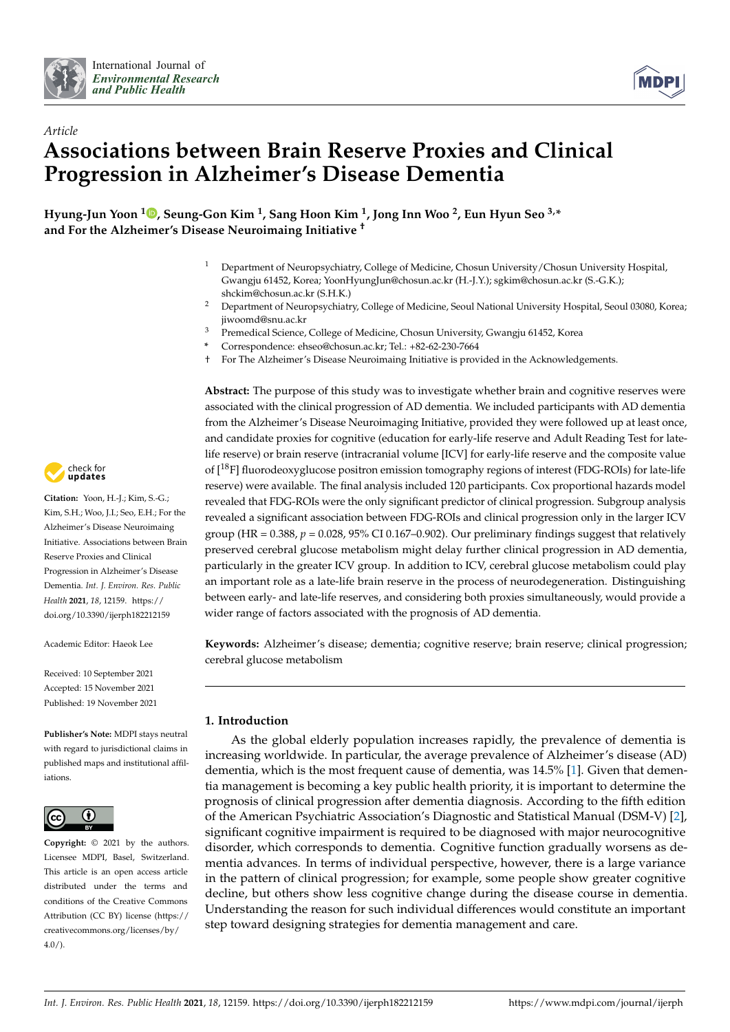



# *Article* **Associations between Brain Reserve Proxies and Clinical Progression in Alzheimer's Disease Dementia**

**Hyung-Jun Yoon <sup>1</sup> [,](https://orcid.org/0000-0003-3087-8853) Seung-Gon Kim <sup>1</sup> , Sang Hoon Kim <sup>1</sup> , Jong Inn Woo <sup>2</sup> , Eun Hyun Seo 3,\* and For the Alzheimer's Disease Neuroimaing Initiative †**

- <sup>1</sup> Department of Neuropsychiatry, College of Medicine, Chosun University/Chosun University Hospital, Gwangju 61452, Korea; YoonHyungJun@chosun.ac.kr (H.-J.Y.); sgkim@chosun.ac.kr (S.-G.K.); shckim@chosun.ac.kr (S.H.K.)
- <sup>2</sup> Department of Neuropsychiatry, College of Medicine, Seoul National University Hospital, Seoul 03080, Korea; jiwoomd@snu.ac.kr
- <sup>3</sup> Premedical Science, College of Medicine, Chosun University, Gwangju 61452, Korea
- **\*** Correspondence: ehseo@chosun.ac.kr; Tel.: +82-62-230-7664
- † For The Alzheimer's Disease Neuroimaing Initiative is provided in the Acknowledgements.

**Abstract:** The purpose of this study was to investigate whether brain and cognitive reserves were associated with the clinical progression of AD dementia. We included participants with AD dementia from the Alzheimer's Disease Neuroimaging Initiative, provided they were followed up at least once, and candidate proxies for cognitive (education for early-life reserve and Adult Reading Test for latelife reserve) or brain reserve (intracranial volume [ICV] for early-life reserve and the composite value of [18F] fluorodeoxyglucose positron emission tomography regions of interest (FDG-ROIs) for late-life reserve) were available. The final analysis included 120 participants. Cox proportional hazards model revealed that FDG-ROIs were the only significant predictor of clinical progression. Subgroup analysis revealed a significant association between FDG-ROIs and clinical progression only in the larger ICV group (HR =  $0.388$ ,  $p = 0.028$ ,  $95\%$  CI 0.167–0.902). Our preliminary findings suggest that relatively preserved cerebral glucose metabolism might delay further clinical progression in AD dementia, particularly in the greater ICV group. In addition to ICV, cerebral glucose metabolism could play an important role as a late-life brain reserve in the process of neurodegeneration. Distinguishing between early- and late-life reserves, and considering both proxies simultaneously, would provide a wider range of factors associated with the prognosis of AD dementia.

**Keywords:** Alzheimer's disease; dementia; cognitive reserve; brain reserve; clinical progression; cerebral glucose metabolism

# **1. Introduction**

As the global elderly population increases rapidly, the prevalence of dementia is increasing worldwide. In particular, the average prevalence of Alzheimer's disease (AD) dementia, which is the most frequent cause of dementia, was 14.5% [\[1\]](#page-9-0). Given that dementia management is becoming a key public health priority, it is important to determine the prognosis of clinical progression after dementia diagnosis. According to the fifth edition of the American Psychiatric Association's Diagnostic and Statistical Manual (DSM-V) [\[2\]](#page-9-1), significant cognitive impairment is required to be diagnosed with major neurocognitive disorder, which corresponds to dementia. Cognitive function gradually worsens as dementia advances. In terms of individual perspective, however, there is a large variance in the pattern of clinical progression; for example, some people show greater cognitive decline, but others show less cognitive change during the disease course in dementia. Understanding the reason for such individual differences would constitute an important step toward designing strategies for dementia management and care.



**Citation:** Yoon, H.-J.; Kim, S.-G.; Kim, S.H.; Woo, J.I.; Seo, E.H.; For the Alzheimer's Disease Neuroimaing Initiative. Associations between Brain Reserve Proxies and Clinical Progression in Alzheimer's Disease Dementia. *Int. J. Environ. Res. Public Health* **2021**, *18*, 12159. [https://](https://doi.org/10.3390/ijerph182212159) [doi.org/10.3390/ijerph182212159](https://doi.org/10.3390/ijerph182212159)

Academic Editor: Haeok Lee

Received: 10 September 2021 Accepted: 15 November 2021 Published: 19 November 2021

**Publisher's Note:** MDPI stays neutral with regard to jurisdictional claims in published maps and institutional affiliations.



**Copyright:** © 2021 by the authors. Licensee MDPI, Basel, Switzerland. This article is an open access article distributed under the terms and conditions of the Creative Commons Attribution (CC BY) license (https:/[/](https://creativecommons.org/licenses/by/4.0/) [creativecommons.org/licenses/by/](https://creativecommons.org/licenses/by/4.0/)  $4.0/$ ).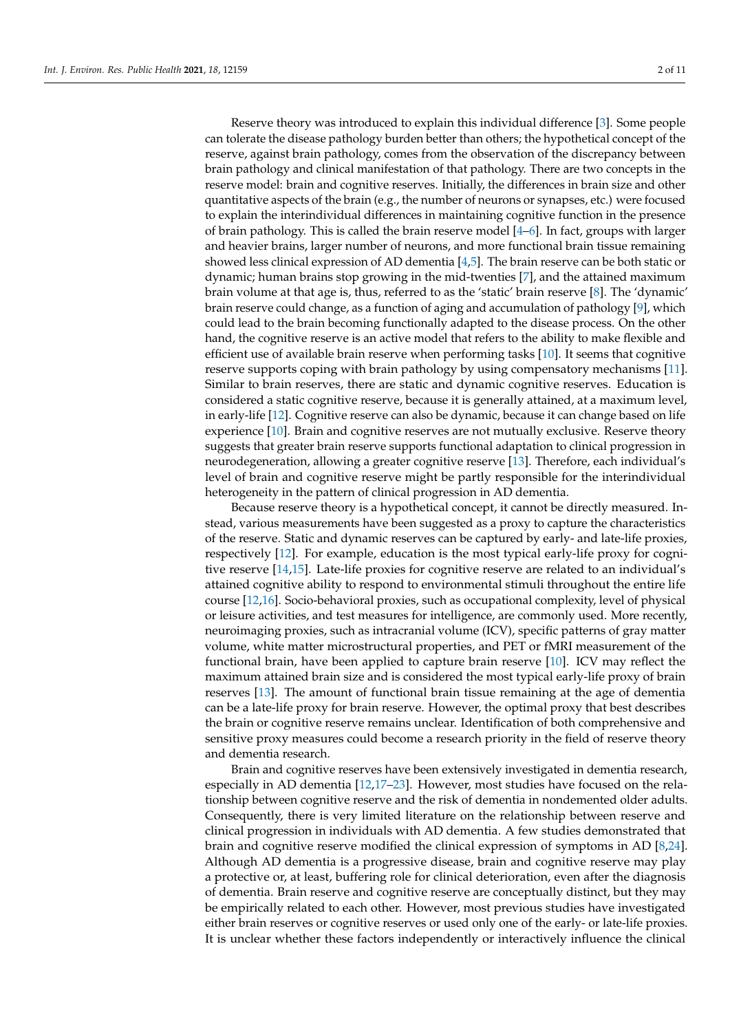Reserve theory was introduced to explain this individual difference [\[3\]](#page-9-2). Some people can tolerate the disease pathology burden better than others; the hypothetical concept of the reserve, against brain pathology, comes from the observation of the discrepancy between brain pathology and clinical manifestation of that pathology. There are two concepts in the reserve model: brain and cognitive reserves. Initially, the differences in brain size and other quantitative aspects of the brain (e.g., the number of neurons or synapses, etc.) were focused to explain the interindividual differences in maintaining cognitive function in the presence of brain pathology. This is called the brain reserve model [\[4–](#page-9-3)[6\]](#page-9-4). In fact, groups with larger and heavier brains, larger number of neurons, and more functional brain tissue remaining showed less clinical expression of AD dementia [\[4](#page-9-3)[,5\]](#page-9-5). The brain reserve can be both static or dynamic; human brains stop growing in the mid-twenties [\[7\]](#page-9-6), and the attained maximum brain volume at that age is, thus, referred to as the 'static' brain reserve [\[8\]](#page-9-7). The 'dynamic' brain reserve could change, as a function of aging and accumulation of pathology [\[9\]](#page-9-8), which could lead to the brain becoming functionally adapted to the disease process. On the other hand, the cognitive reserve is an active model that refers to the ability to make flexible and efficient use of available brain reserve when performing tasks [\[10\]](#page-9-9). It seems that cognitive reserve supports coping with brain pathology by using compensatory mechanisms [\[11\]](#page-9-10). Similar to brain reserves, there are static and dynamic cognitive reserves. Education is considered a static cognitive reserve, because it is generally attained, at a maximum level, in early-life [\[12\]](#page-9-11). Cognitive reserve can also be dynamic, because it can change based on life experience [\[10\]](#page-9-9). Brain and cognitive reserves are not mutually exclusive. Reserve theory suggests that greater brain reserve supports functional adaptation to clinical progression in neurodegeneration, allowing a greater cognitive reserve [\[13\]](#page-9-12). Therefore, each individual's level of brain and cognitive reserve might be partly responsible for the interindividual heterogeneity in the pattern of clinical progression in AD dementia.

Because reserve theory is a hypothetical concept, it cannot be directly measured. Instead, various measurements have been suggested as a proxy to capture the characteristics of the reserve. Static and dynamic reserves can be captured by early- and late-life proxies, respectively [\[12\]](#page-9-11). For example, education is the most typical early-life proxy for cognitive reserve [\[14,](#page-9-13)[15\]](#page-9-14). Late-life proxies for cognitive reserve are related to an individual's attained cognitive ability to respond to environmental stimuli throughout the entire life course [\[12](#page-9-11)[,16\]](#page-9-15). Socio-behavioral proxies, such as occupational complexity, level of physical or leisure activities, and test measures for intelligence, are commonly used. More recently, neuroimaging proxies, such as intracranial volume (ICV), specific patterns of gray matter volume, white matter microstructural properties, and PET or fMRI measurement of the functional brain, have been applied to capture brain reserve [\[10\]](#page-9-9). ICV may reflect the maximum attained brain size and is considered the most typical early-life proxy of brain reserves [\[13\]](#page-9-12). The amount of functional brain tissue remaining at the age of dementia can be a late-life proxy for brain reserve. However, the optimal proxy that best describes the brain or cognitive reserve remains unclear. Identification of both comprehensive and sensitive proxy measures could become a research priority in the field of reserve theory and dementia research.

Brain and cognitive reserves have been extensively investigated in dementia research, especially in AD dementia [\[12,](#page-9-11)[17–](#page-9-16)[23\]](#page-9-17). However, most studies have focused on the relationship between cognitive reserve and the risk of dementia in nondemented older adults. Consequently, there is very limited literature on the relationship between reserve and clinical progression in individuals with AD dementia. A few studies demonstrated that brain and cognitive reserve modified the clinical expression of symptoms in AD [\[8,](#page-9-7)[24\]](#page-9-18). Although AD dementia is a progressive disease, brain and cognitive reserve may play a protective or, at least, buffering role for clinical deterioration, even after the diagnosis of dementia. Brain reserve and cognitive reserve are conceptually distinct, but they may be empirically related to each other. However, most previous studies have investigated either brain reserves or cognitive reserves or used only one of the early- or late-life proxies. It is unclear whether these factors independently or interactively influence the clinical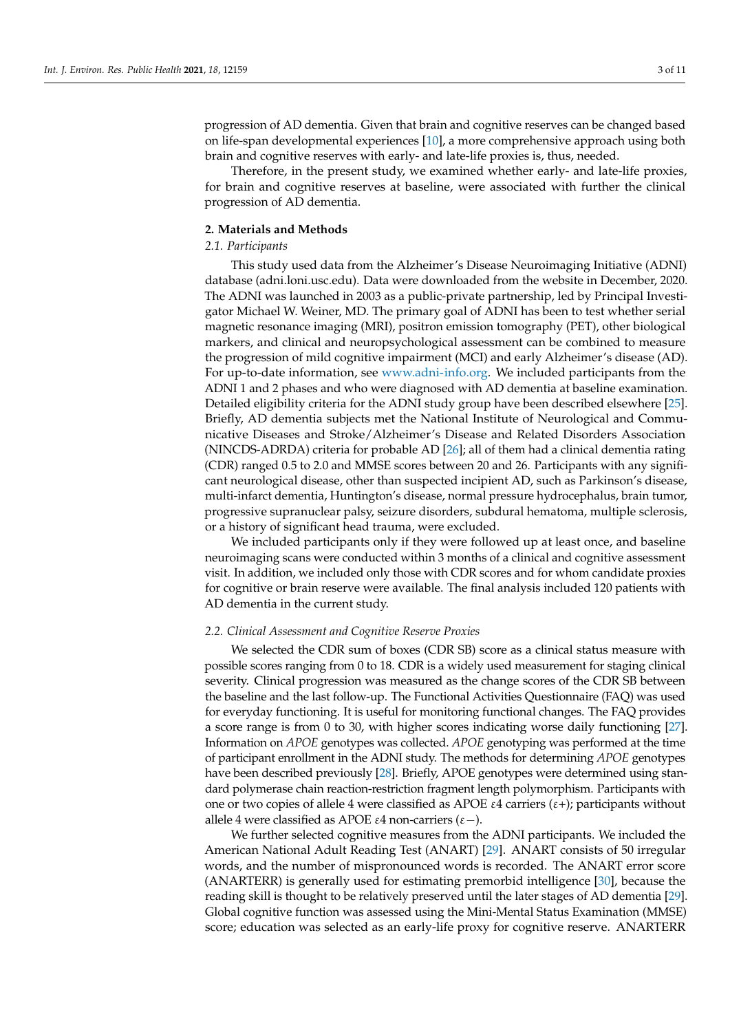progression of AD dementia. Given that brain and cognitive reserves can be changed based on life-span developmental experiences [\[10\]](#page-9-9), a more comprehensive approach using both brain and cognitive reserves with early- and late-life proxies is, thus, needed.

Therefore, in the present study, we examined whether early- and late-life proxies, for brain and cognitive reserves at baseline, were associated with further the clinical progression of AD dementia.

#### **2. Materials and Methods**

## *2.1. Participants*

This study used data from the Alzheimer's Disease Neuroimaging Initiative (ADNI) database (adni.loni.usc.edu). Data were downloaded from the website in December, 2020. The ADNI was launched in 2003 as a public-private partnership, led by Principal Investigator Michael W. Weiner, MD. The primary goal of ADNI has been to test whether serial magnetic resonance imaging (MRI), positron emission tomography (PET), other biological markers, and clinical and neuropsychological assessment can be combined to measure the progression of mild cognitive impairment (MCI) and early Alzheimer's disease (AD). For up-to-date information, see [www.adni-info.org.](www.adni-info.org) We included participants from the ADNI 1 and 2 phases and who were diagnosed with AD dementia at baseline examination. Detailed eligibility criteria for the ADNI study group have been described elsewhere [\[25\]](#page-9-19). Briefly, AD dementia subjects met the National Institute of Neurological and Communicative Diseases and Stroke/Alzheimer's Disease and Related Disorders Association (NINCDS-ADRDA) criteria for probable AD [\[26\]](#page-9-20); all of them had a clinical dementia rating (CDR) ranged 0.5 to 2.0 and MMSE scores between 20 and 26. Participants with any significant neurological disease, other than suspected incipient AD, such as Parkinson's disease, multi-infarct dementia, Huntington's disease, normal pressure hydrocephalus, brain tumor, progressive supranuclear palsy, seizure disorders, subdural hematoma, multiple sclerosis, or a history of significant head trauma, were excluded.

We included participants only if they were followed up at least once, and baseline neuroimaging scans were conducted within 3 months of a clinical and cognitive assessment visit. In addition, we included only those with CDR scores and for whom candidate proxies for cognitive or brain reserve were available. The final analysis included 120 patients with AD dementia in the current study.

#### *2.2. Clinical Assessment and Cognitive Reserve Proxies*

We selected the CDR sum of boxes (CDR SB) score as a clinical status measure with possible scores ranging from 0 to 18. CDR is a widely used measurement for staging clinical severity. Clinical progression was measured as the change scores of the CDR SB between the baseline and the last follow-up. The Functional Activities Questionnaire (FAQ) was used for everyday functioning. It is useful for monitoring functional changes. The FAQ provides a score range is from 0 to 30, with higher scores indicating worse daily functioning [\[27\]](#page-9-21). Information on *APOE* genotypes was collected. *APOE* genotyping was performed at the time of participant enrollment in the ADNI study. The methods for determining *APOE* genotypes have been described previously [\[28\]](#page-10-0). Briefly, APOE genotypes were determined using standard polymerase chain reaction-restriction fragment length polymorphism. Participants with one or two copies of allele 4 were classified as APOE  $\varepsilon$ 4 carriers ( $\varepsilon$ +); participants without allele 4 were classified as APOE ε4 non-carriers (ε−).

We further selected cognitive measures from the ADNI participants. We included the American National Adult Reading Test (ANART) [\[29\]](#page-10-1). ANART consists of 50 irregular words, and the number of mispronounced words is recorded. The ANART error score (ANARTERR) is generally used for estimating premorbid intelligence [\[30\]](#page-10-2), because the reading skill is thought to be relatively preserved until the later stages of AD dementia [\[29\]](#page-10-1). Global cognitive function was assessed using the Mini-Mental Status Examination (MMSE) score; education was selected as an early-life proxy for cognitive reserve. ANARTERR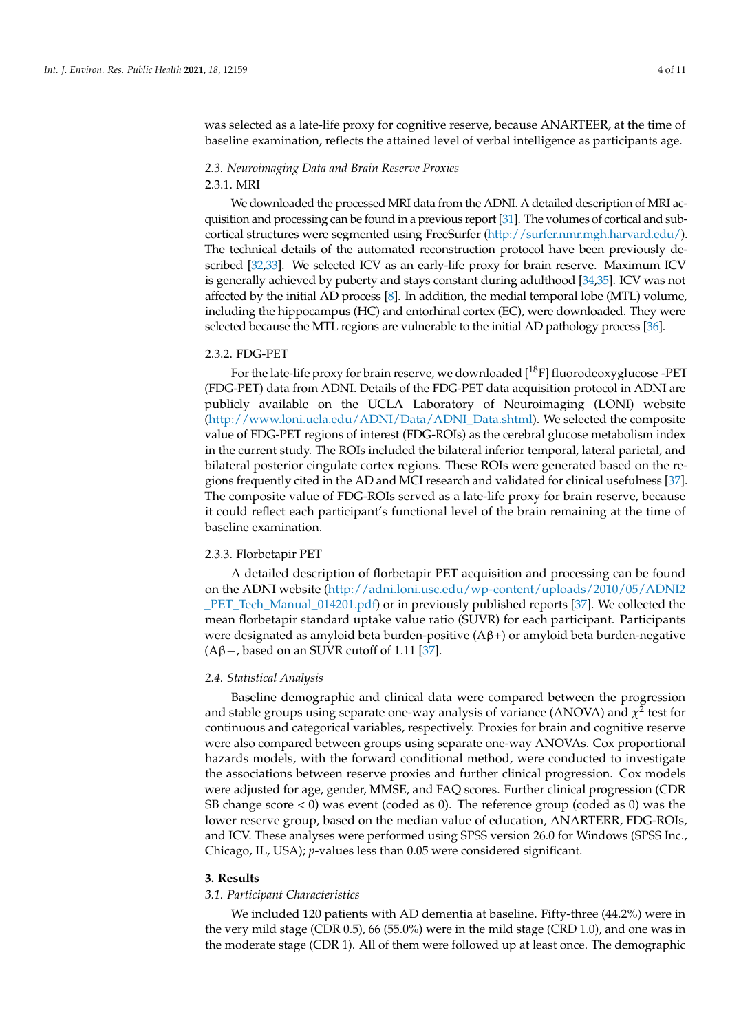was selected as a late-life proxy for cognitive reserve, because ANARTEER, at the time of baseline examination, reflects the attained level of verbal intelligence as participants age.

# *2.3. Neuroimaging Data and Brain Reserve Proxies*

## 2.3.1. MRI

We downloaded the processed MRI data from the ADNI. A detailed description of MRI acquisition and processing can be found in a previous report [\[31\]](#page-10-3). The volumes of cortical and subcortical structures were segmented using FreeSurfer [\(http://surfer.nmr.mgh.harvard.edu/\)](http://surfer.nmr.mgh.harvard.edu/). The technical details of the automated reconstruction protocol have been previously described [\[32,](#page-10-4)[33\]](#page-10-5). We selected ICV as an early-life proxy for brain reserve. Maximum ICV is generally achieved by puberty and stays constant during adulthood [\[34](#page-10-6)[,35\]](#page-10-7). ICV was not affected by the initial AD process [\[8\]](#page-9-7). In addition, the medial temporal lobe (MTL) volume, including the hippocampus (HC) and entorhinal cortex (EC), were downloaded. They were selected because the MTL regions are vulnerable to the initial AD pathology process [\[36\]](#page-10-8).

#### 2.3.2. FDG-PET

For the late-life proxy for brain reserve, we downloaded  $[$ <sup>18</sup>F] fluorodeoxyglucose -PET (FDG-PET) data from ADNI. Details of the FDG-PET data acquisition protocol in ADNI are publicly available on the UCLA Laboratory of Neuroimaging (LONI) website [\(http://www.loni.ucla.edu/ADNI/Data/ADNI\\_Data.shtml\)](http://www.loni.ucla.edu/ADNI/Data/ADNI_Data.shtml). We selected the composite value of FDG-PET regions of interest (FDG-ROIs) as the cerebral glucose metabolism index in the current study. The ROIs included the bilateral inferior temporal, lateral parietal, and bilateral posterior cingulate cortex regions. These ROIs were generated based on the regions frequently cited in the AD and MCI research and validated for clinical usefulness [\[37\]](#page-10-9). The composite value of FDG-ROIs served as a late-life proxy for brain reserve, because it could reflect each participant's functional level of the brain remaining at the time of baseline examination.

#### 2.3.3. Florbetapir PET

A detailed description of florbetapir PET acquisition and processing can be found on the ADNI website [\(http://adni.loni.usc.edu/wp-content/uploads/2010/05/ADNI2](http://adni.loni.usc.edu/wp-content/uploads/2010/05/ADNI2_PET_Tech_Manual_014201.pdf) [\\_PET\\_Tech\\_Manual\\_014201.pdf\)](http://adni.loni.usc.edu/wp-content/uploads/2010/05/ADNI2_PET_Tech_Manual_014201.pdf) or in previously published reports [\[37\]](#page-10-9). We collected the mean florbetapir standard uptake value ratio (SUVR) for each participant. Participants were designated as amyloid beta burden-positive  $(A\beta+)$  or amyloid beta burden-negative (A $\beta$ −, based on an SUVR cutoff of 1.11 [\[37\]](#page-10-9).

#### *2.4. Statistical Analysis*

Baseline demographic and clinical data were compared between the progression and stable groups using separate one-way analysis of variance (ANOVA) and  $\chi^2$  test for continuous and categorical variables, respectively. Proxies for brain and cognitive reserve were also compared between groups using separate one-way ANOVAs. Cox proportional hazards models, with the forward conditional method, were conducted to investigate the associations between reserve proxies and further clinical progression. Cox models were adjusted for age, gender, MMSE, and FAQ scores. Further clinical progression (CDR SB change score  $< 0$ ) was event (coded as 0). The reference group (coded as 0) was the lower reserve group, based on the median value of education, ANARTERR, FDG-ROIs, and ICV. These analyses were performed using SPSS version 26.0 for Windows (SPSS Inc., Chicago, IL, USA); *p*-values less than 0.05 were considered significant.

#### **3. Results**

#### *3.1. Participant Characteristics*

We included 120 patients with AD dementia at baseline. Fifty-three (44.2%) were in the very mild stage (CDR 0.5), 66 (55.0%) were in the mild stage (CRD 1.0), and one was in the moderate stage (CDR 1). All of them were followed up at least once. The demographic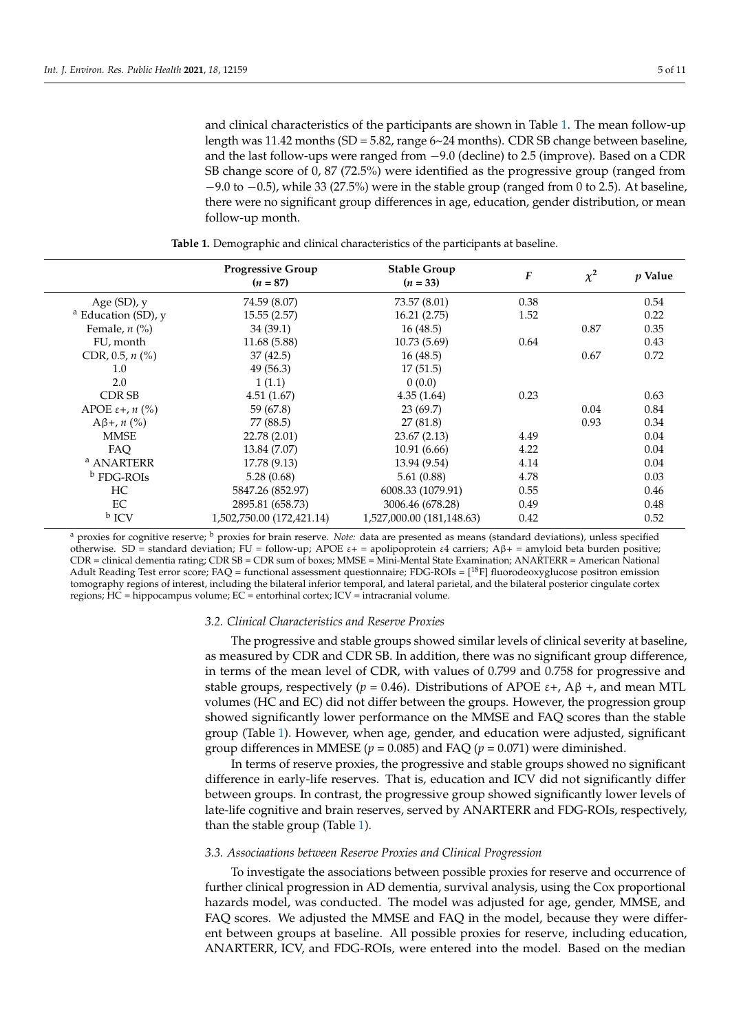and clinical characteristics of the participants are shown in Table [1.](#page-4-0) The mean follow-up length was 11.42 months (SD =  $5.82$ , range  $6~24$  months). CDR SB change between baseline, and the last follow-ups were ranged from −9.0 (decline) to 2.5 (improve). Based on a CDR SB change score of 0, 87 (72.5%) were identified as the progressive group (ranged from  $-9.0$  to  $-0.5$ ), while 33 (27.5%) were in the stable group (ranged from 0 to 2.5). At baseline, there were no significant group differences in age, education, gender distribution, or mean follow-up month.

<span id="page-4-0"></span>

|                                  | <b>Progressive Group</b><br>$(n = 87)$ | <b>Stable Group</b><br>$(n = 33)$ | F    | $\chi^2$ | <i>p</i> Value |
|----------------------------------|----------------------------------------|-----------------------------------|------|----------|----------------|
| Age $(SD)$ , y                   | 74.59 (8.07)                           | 73.57 (8.01)                      | 0.38 |          | 0.54           |
| <sup>a</sup> Education (SD), $v$ | 15.55(2.57)                            | 16.21(2.75)                       | 1.52 |          | 0.22           |
| Female, $n$ $\left(\% \right)$   | 34(39.1)                               | 16(48.5)                          |      | 0.87     | 0.35           |
| FU, month                        | 11.68 (5.88)                           | 10.73(5.69)                       | 0.64 |          | 0.43           |
| CDR, 0.5, $n$ (%)                | 37(42.5)                               | 16(48.5)                          |      | 0.67     | 0.72           |
| 1.0                              | 49 (56.3)                              | 17(51.5)                          |      |          |                |
| 2.0                              | 1(1.1)                                 | 0(0.0)                            |      |          |                |
| <b>CDR SB</b>                    | 4.51(1.67)                             | 4.35(1.64)                        | 0.23 |          | 0.63           |
| APOE $\varepsilon$ +, n (%)      | 59 (67.8)                              | 23(69.7)                          |      | 0.04     | 0.84           |
| $A\beta + n\ (\%)$               | 77 (88.5)                              | 27 (81.8)                         |      | 0.93     | 0.34           |
| <b>MMSE</b>                      | 22.78 (2.01)                           | 23.67(2.13)                       | 4.49 |          | 0.04           |
| FAO                              | 13.84 (7.07)                           | 10.91(6.66)                       | 4.22 |          | 0.04           |
| <sup>a</sup> ANARTERR            | 17.78 (9.13)                           | 13.94 (9.54)                      | 4.14 |          | 0.04           |
| <sup>b</sup> FDG-ROIs            | 5.28(0.68)                             | 5.61(0.88)                        | 4.78 |          | 0.03           |
| HC.                              | 5847.26 (852.97)                       | 6008.33 (1079.91)                 | 0.55 |          | 0.46           |
| EC                               | 2895.81 (658.73)                       | 3006.46 (678.28)                  | 0.49 |          | 0.48           |
| $\rm ^b$ ICV                     | 1,502,750.00 (172,421.14)              | 1,527,000.00 (181,148.63)         | 0.42 |          | 0.52           |

**Table 1.** Demographic and clinical characteristics of the participants at baseline.

<sup>a</sup> proxies for cognitive reserve; <sup>b</sup> proxies for brain reserve. *Note:* data are presented as means (standard deviations), unless specified otherwise. SD = standard deviation; FU = follow-up; APOE  $ε$  + = apolipoprotein ε4 carriers; Aβ+ = amyloid beta burden positive; CDR = clinical dementia rating; CDR SB = CDR sum of boxes; MMSE = Mini-Mental State Examination; ANARTERR = American National Adult Reading Test error score; FAQ = functional assessment questionnaire; FDG-ROIs = [<sup>18</sup>F] fluorodeoxyglucose positron emission tomography regions of interest, including the bilateral inferior temporal, and lateral parietal, and the bilateral posterior cingulate cortex regions;  $\overrightarrow{HC}$  = hippocampus volume;  $\overrightarrow{EC}$  = entorhinal cortex;  $\overrightarrow{IC}$  = intracranial volume.

#### *3.2. Clinical Characteristics and Reserve Proxies*

The progressive and stable groups showed similar levels of clinical severity at baseline, as measured by CDR and CDR SB. In addition, there was no significant group difference, in terms of the mean level of CDR, with values of 0.799 and 0.758 for progressive and stable groups, respectively ( $p = 0.46$ ). Distributions of APOE  $\varepsilon$ +, A $\beta$  +, and mean MTL volumes (HC and EC) did not differ between the groups. However, the progression group showed significantly lower performance on the MMSE and FAQ scores than the stable group (Table [1\)](#page-4-0). However, when age, gender, and education were adjusted, significant group differences in MMESE ( $p = 0.085$ ) and FAQ ( $p = 0.071$ ) were diminished.

In terms of reserve proxies, the progressive and stable groups showed no significant difference in early-life reserves. That is, education and ICV did not significantly differ between groups. In contrast, the progressive group showed significantly lower levels of late-life cognitive and brain reserves, served by ANARTERR and FDG-ROIs, respectively, than the stable group (Table [1\)](#page-4-0).

#### *3.3. Associaations between Reserve Proxies and Clinical Progression*

To investigate the associations between possible proxies for reserve and occurrence of further clinical progression in AD dementia, survival analysis, using the Cox proportional hazards model, was conducted. The model was adjusted for age, gender, MMSE, and FAQ scores. We adjusted the MMSE and FAQ in the model, because they were different between groups at baseline. All possible proxies for reserve, including education, ANARTERR, ICV, and FDG-ROIs, were entered into the model. Based on the median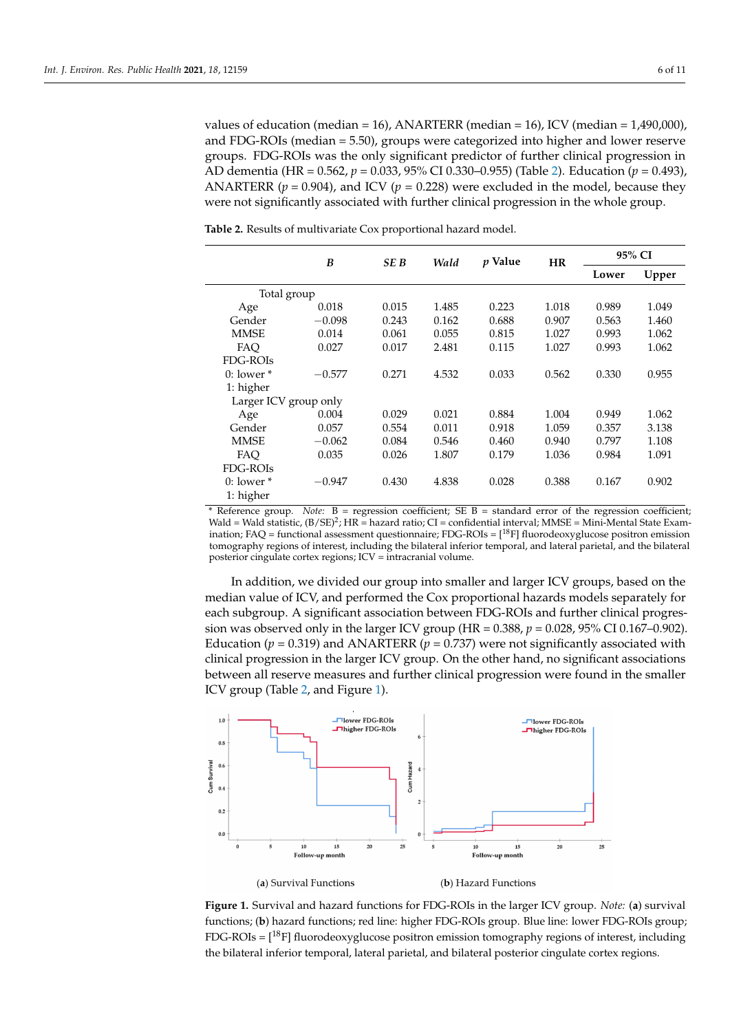values of education (median = 16), ANARTERR (median = 16), ICV (median = 1,490,000), and FDG-ROIs (median = 5.50), groups were categorized into higher and lower reserve groups. FDG-ROIs was the only significant predictor of further clinical progression in AD dementia (HR = 0.562, *p* = 0.033, 95% CI 0.330–0.955) (Table [2\)](#page-5-0). Education (*p* = 0.493), ANARTERR ( $p = 0.904$ ), and ICV ( $p = 0.228$ ) were excluded in the model, because they were not significantly associated with further clinical progression in the whole group.

<span id="page-5-0"></span>**Table 2.** Results of multivariate Cox proportional hazard model.

|                       | B        | SE B  | Wald  | $p$ Value | <b>HR</b> | 95% CI |       |
|-----------------------|----------|-------|-------|-----------|-----------|--------|-------|
|                       |          |       |       |           |           | Lower  | Upper |
| Total group           |          |       |       |           |           |        |       |
| Age                   | 0.018    | 0.015 | 1.485 | 0.223     | 1.018     | 0.989  | 1.049 |
| Gender                | $-0.098$ | 0.243 | 0.162 | 0.688     | 0.907     | 0.563  | 1.460 |
| <b>MMSE</b>           | 0.014    | 0.061 | 0.055 | 0.815     | 1.027     | 0.993  | 1.062 |
| FAO                   | 0.027    | 0.017 | 2.481 | 0.115     | 1.027     | 0.993  | 1.062 |
| FDG-ROIs              |          |       |       |           |           |        |       |
| $0:$ lower $*$        | $-0.577$ | 0.271 | 4.532 | 0.033     | 0.562     | 0.330  | 0.955 |
| 1: higher             |          |       |       |           |           |        |       |
| Larger ICV group only |          |       |       |           |           |        |       |
| Age                   | 0.004    | 0.029 | 0.021 | 0.884     | 1.004     | 0.949  | 1.062 |
| Gender                | 0.057    | 0.554 | 0.011 | 0.918     | 1.059     | 0.357  | 3.138 |
| <b>MMSE</b>           | $-0.062$ | 0.084 | 0.546 | 0.460     | 0.940     | 0.797  | 1.108 |
| <b>FAO</b>            | 0.035    | 0.026 | 1.807 | 0.179     | 1.036     | 0.984  | 1.091 |
| <b>FDG-ROIs</b>       |          |       |       |           |           |        |       |
| $0:$ lower $*$        | $-0.947$ | 0.430 | 4.838 | 0.028     | 0.388     | 0.167  | 0.902 |
| 1: higher             |          |       |       |           |           |        |       |

\* Reference group. *Note:* B = regression coefficient; SE B = standard error of the regression coefficient; Wald = Wald statistic, (B/SE)<sup>2</sup>; HR = hazard ratio; CI = confidential interval; MMSE = Mini-Mental State Examination; FAQ = functional assessment questionnaire; FDG-ROIs =  $[{}^{18}F]$  fluorodeoxyglucose positron emission tomography regions of interest, including the bilateral inferior temporal, and lateral parietal, and the bilateral  $\mathbf{p}$  posterior cingulate cortex regions; ICV = intracranial volume.

In addition, we divided our group into smaller and larger ICV groups, based on the median value of ICV, and performed the Cox proportional hazards models separately for each subgroup. A significant association between FDG-ROIs and further clinical progression was observed only in the larger ICV group (HR =  $0.388$ ,  $p$  =  $0.028$ , 95% CI 0.167–0.902). Education ( $p = 0.319$ ) and ANARTERR ( $p = 0.737$ ) were not significantly associated with clinical progression in the larger ICV group. On the other hand, no significant associations between all reserve measures and further clinical progression were found in the smaller ICV group (Table [2,](#page-5-0) and Figure [1\)](#page-5-1). perion.  $-0.947$ n the harger TC v group. On the other hand, ho bighting

<span id="page-5-1"></span>

Figure 1. Survival and hazard functions for FDG-ROIs in the larger ICV group. Note: (a) survival functions; (**b**) hazard functions; red line: higher FDG-ROIs group. Blue line: lower FDG-ROIs group; functions; (**b**) hazard functions; red line: higher FDG-ROIs group. Blue line: lower FDG-ROIs group; FDG-ROIs =  $[$ <sup>18</sup>F] fluorodeoxyglucose positron emission tomography regions of interest, including **4. Discussion**  the bilateral inferior temporal, lateral parietal, and bilateral posterior cingulate cortex regions.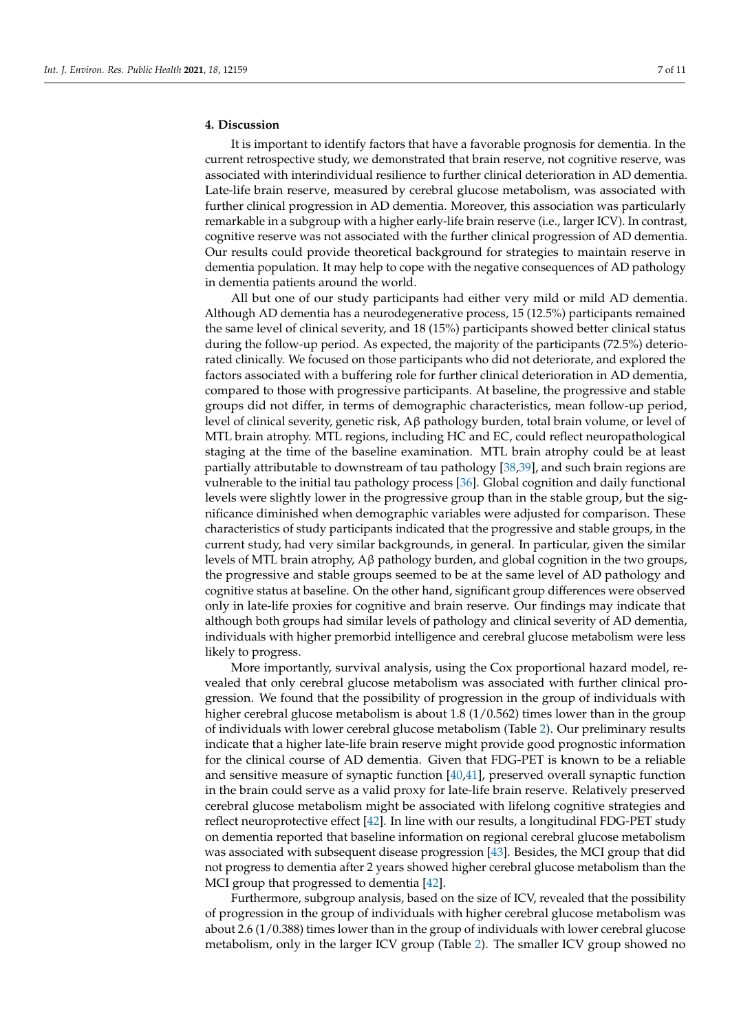# **4. Discussion**

It is important to identify factors that have a favorable prognosis for dementia. In the current retrospective study, we demonstrated that brain reserve, not cognitive reserve, was associated with interindividual resilience to further clinical deterioration in AD dementia. Late-life brain reserve, measured by cerebral glucose metabolism, was associated with further clinical progression in AD dementia. Moreover, this association was particularly remarkable in a subgroup with a higher early-life brain reserve (i.e., larger ICV). In contrast, cognitive reserve was not associated with the further clinical progression of AD dementia. Our results could provide theoretical background for strategies to maintain reserve in dementia population. It may help to cope with the negative consequences of AD pathology in dementia patients around the world.

All but one of our study participants had either very mild or mild AD dementia. Although AD dementia has a neurodegenerative process, 15 (12.5%) participants remained the same level of clinical severity, and 18 (15%) participants showed better clinical status during the follow-up period. As expected, the majority of the participants (72.5%) deteriorated clinically. We focused on those participants who did not deteriorate, and explored the factors associated with a buffering role for further clinical deterioration in AD dementia, compared to those with progressive participants. At baseline, the progressive and stable groups did not differ, in terms of demographic characteristics, mean follow-up period, level of clinical severity, genetic risk, Aβ pathology burden, total brain volume, or level of MTL brain atrophy. MTL regions, including HC and EC, could reflect neuropathological staging at the time of the baseline examination. MTL brain atrophy could be at least partially attributable to downstream of tau pathology [\[38](#page-10-10)[,39\]](#page-10-11), and such brain regions are vulnerable to the initial tau pathology process [\[36\]](#page-10-8). Global cognition and daily functional levels were slightly lower in the progressive group than in the stable group, but the significance diminished when demographic variables were adjusted for comparison. These characteristics of study participants indicated that the progressive and stable groups, in the current study, had very similar backgrounds, in general. In particular, given the similar levels of MTL brain atrophy, Aβ pathology burden, and global cognition in the two groups, the progressive and stable groups seemed to be at the same level of AD pathology and cognitive status at baseline. On the other hand, significant group differences were observed only in late-life proxies for cognitive and brain reserve. Our findings may indicate that although both groups had similar levels of pathology and clinical severity of AD dementia, individuals with higher premorbid intelligence and cerebral glucose metabolism were less likely to progress.

More importantly, survival analysis, using the Cox proportional hazard model, revealed that only cerebral glucose metabolism was associated with further clinical progression. We found that the possibility of progression in the group of individuals with higher cerebral glucose metabolism is about 1.8 (1/0.562) times lower than in the group of individuals with lower cerebral glucose metabolism (Table [2\)](#page-5-0). Our preliminary results indicate that a higher late-life brain reserve might provide good prognostic information for the clinical course of AD dementia. Given that FDG-PET is known to be a reliable and sensitive measure of synaptic function [\[40](#page-10-12)[,41\]](#page-10-13), preserved overall synaptic function in the brain could serve as a valid proxy for late-life brain reserve. Relatively preserved cerebral glucose metabolism might be associated with lifelong cognitive strategies and reflect neuroprotective effect [\[42\]](#page-10-14). In line with our results, a longitudinal FDG-PET study on dementia reported that baseline information on regional cerebral glucose metabolism was associated with subsequent disease progression [\[43\]](#page-10-15). Besides, the MCI group that did not progress to dementia after 2 years showed higher cerebral glucose metabolism than the MCI group that progressed to dementia [\[42\]](#page-10-14).

Furthermore, subgroup analysis, based on the size of ICV, revealed that the possibility of progression in the group of individuals with higher cerebral glucose metabolism was about 2.6 (1/0.388) times lower than in the group of individuals with lower cerebral glucose metabolism, only in the larger ICV group (Table [2\)](#page-5-0). The smaller ICV group showed no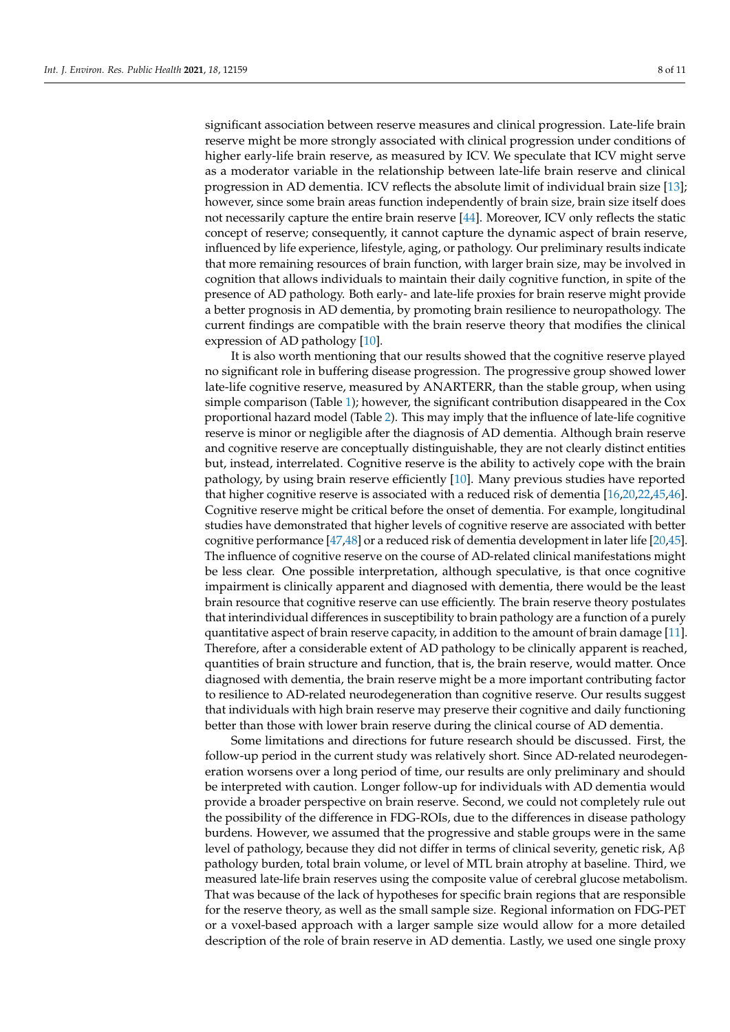significant association between reserve measures and clinical progression. Late-life brain reserve might be more strongly associated with clinical progression under conditions of higher early-life brain reserve, as measured by ICV. We speculate that ICV might serve as a moderator variable in the relationship between late-life brain reserve and clinical progression in AD dementia. ICV reflects the absolute limit of individual brain size [\[13\]](#page-9-12); however, since some brain areas function independently of brain size, brain size itself does not necessarily capture the entire brain reserve [\[44\]](#page-10-16). Moreover, ICV only reflects the static concept of reserve; consequently, it cannot capture the dynamic aspect of brain reserve, influenced by life experience, lifestyle, aging, or pathology. Our preliminary results indicate that more remaining resources of brain function, with larger brain size, may be involved in cognition that allows individuals to maintain their daily cognitive function, in spite of the presence of AD pathology. Both early- and late-life proxies for brain reserve might provide a better prognosis in AD dementia, by promoting brain resilience to neuropathology. The current findings are compatible with the brain reserve theory that modifies the clinical expression of AD pathology [\[10\]](#page-9-9).

It is also worth mentioning that our results showed that the cognitive reserve played no significant role in buffering disease progression. The progressive group showed lower late-life cognitive reserve, measured by ANARTERR, than the stable group, when using simple comparison (Table [1\)](#page-4-0); however, the significant contribution disappeared in the Cox proportional hazard model (Table [2\)](#page-5-0). This may imply that the influence of late-life cognitive reserve is minor or negligible after the diagnosis of AD dementia. Although brain reserve and cognitive reserve are conceptually distinguishable, they are not clearly distinct entities but, instead, interrelated. Cognitive reserve is the ability to actively cope with the brain pathology, by using brain reserve efficiently [\[10\]](#page-9-9). Many previous studies have reported that higher cognitive reserve is associated with a reduced risk of dementia [\[16,](#page-9-15)[20](#page-9-22)[,22](#page-9-23)[,45](#page-10-17)[,46\]](#page-10-18). Cognitive reserve might be critical before the onset of dementia. For example, longitudinal studies have demonstrated that higher levels of cognitive reserve are associated with better cognitive performance [\[47,](#page-10-19)[48\]](#page-10-20) or a reduced risk of dementia development in later life [\[20](#page-9-22)[,45\]](#page-10-17). The influence of cognitive reserve on the course of AD-related clinical manifestations might be less clear. One possible interpretation, although speculative, is that once cognitive impairment is clinically apparent and diagnosed with dementia, there would be the least brain resource that cognitive reserve can use efficiently. The brain reserve theory postulates that interindividual differences in susceptibility to brain pathology are a function of a purely quantitative aspect of brain reserve capacity, in addition to the amount of brain damage [\[11\]](#page-9-10). Therefore, after a considerable extent of AD pathology to be clinically apparent is reached, quantities of brain structure and function, that is, the brain reserve, would matter. Once diagnosed with dementia, the brain reserve might be a more important contributing factor to resilience to AD-related neurodegeneration than cognitive reserve. Our results suggest that individuals with high brain reserve may preserve their cognitive and daily functioning better than those with lower brain reserve during the clinical course of AD dementia.

Some limitations and directions for future research should be discussed. First, the follow-up period in the current study was relatively short. Since AD-related neurodegeneration worsens over a long period of time, our results are only preliminary and should be interpreted with caution. Longer follow-up for individuals with AD dementia would provide a broader perspective on brain reserve. Second, we could not completely rule out the possibility of the difference in FDG-ROIs, due to the differences in disease pathology burdens. However, we assumed that the progressive and stable groups were in the same level of pathology, because they did not differ in terms of clinical severity, genetic risk,  $Aβ$ pathology burden, total brain volume, or level of MTL brain atrophy at baseline. Third, we measured late-life brain reserves using the composite value of cerebral glucose metabolism. That was because of the lack of hypotheses for specific brain regions that are responsible for the reserve theory, as well as the small sample size. Regional information on FDG-PET or a voxel-based approach with a larger sample size would allow for a more detailed description of the role of brain reserve in AD dementia. Lastly, we used one single proxy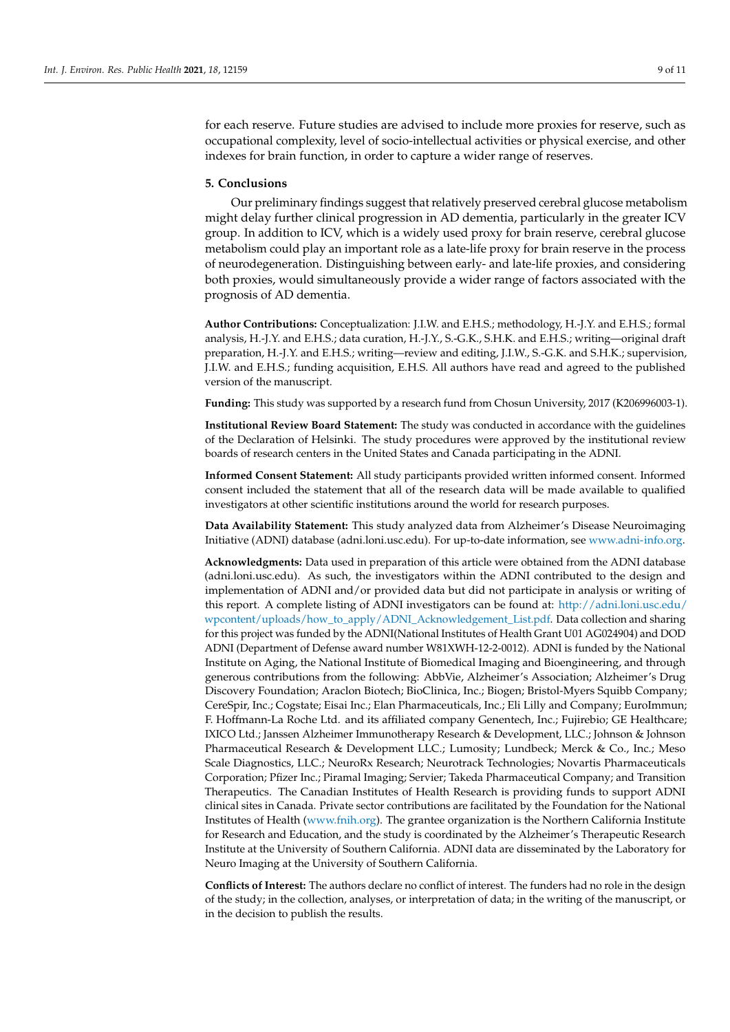for each reserve. Future studies are advised to include more proxies for reserve, such as occupational complexity, level of socio-intellectual activities or physical exercise, and other indexes for brain function, in order to capture a wider range of reserves.

#### **5. Conclusions**

Our preliminary findings suggest that relatively preserved cerebral glucose metabolism might delay further clinical progression in AD dementia, particularly in the greater ICV group. In addition to ICV, which is a widely used proxy for brain reserve, cerebral glucose metabolism could play an important role as a late-life proxy for brain reserve in the process of neurodegeneration. Distinguishing between early- and late-life proxies, and considering both proxies, would simultaneously provide a wider range of factors associated with the prognosis of AD dementia.

**Author Contributions:** Conceptualization: J.I.W. and E.H.S.; methodology, H.-J.Y. and E.H.S.; formal analysis, H.-J.Y. and E.H.S.; data curation, H.-J.Y., S.-G.K., S.H.K. and E.H.S.; writing—original draft preparation, H.-J.Y. and E.H.S.; writing—review and editing, J.I.W., S.-G.K. and S.H.K.; supervision, J.I.W. and E.H.S.; funding acquisition, E.H.S. All authors have read and agreed to the published version of the manuscript.

**Funding:** This study was supported by a research fund from Chosun University, 2017 (K206996003-1).

**Institutional Review Board Statement:** The study was conducted in accordance with the guidelines of the Declaration of Helsinki. The study procedures were approved by the institutional review boards of research centers in the United States and Canada participating in the ADNI.

**Informed Consent Statement:** All study participants provided written informed consent. Informed consent included the statement that all of the research data will be made available to qualified investigators at other scientific institutions around the world for research purposes.

**Data Availability Statement:** This study analyzed data from Alzheimer's Disease Neuroimaging Initiative (ADNI) database (adni.loni.usc.edu). For up-to-date information, see [www.adni-info.org.](www.adni-info.org)

**Acknowledgments:** Data used in preparation of this article were obtained from the ADNI database (adni.loni.usc.edu). As such, the investigators within the ADNI contributed to the design and implementation of ADNI and/or provided data but did not participate in analysis or writing of this report. A complete listing of ADNI investigators can be found at: [http://adni.loni.usc.edu/](http://adni.loni.usc.edu/wpcontent/uploads/how_to_apply/ADNI_Acknowledgement_List.pdf) [wpcontent/uploads/how\\_to\\_apply/ADNI\\_Acknowledgement\\_List.pdf.](http://adni.loni.usc.edu/wpcontent/uploads/how_to_apply/ADNI_Acknowledgement_List.pdf) Data collection and sharing for this project was funded by the ADNI(National Institutes of Health Grant U01 AG024904) and DOD ADNI (Department of Defense award number W81XWH-12-2-0012). ADNI is funded by the National Institute on Aging, the National Institute of Biomedical Imaging and Bioengineering, and through generous contributions from the following: AbbVie, Alzheimer's Association; Alzheimer's Drug Discovery Foundation; Araclon Biotech; BioClinica, Inc.; Biogen; Bristol-Myers Squibb Company; CereSpir, Inc.; Cogstate; Eisai Inc.; Elan Pharmaceuticals, Inc.; Eli Lilly and Company; EuroImmun; F. Hoffmann-La Roche Ltd. and its affiliated company Genentech, Inc.; Fujirebio; GE Healthcare; IXICO Ltd.; Janssen Alzheimer Immunotherapy Research & Development, LLC.; Johnson & Johnson Pharmaceutical Research & Development LLC.; Lumosity; Lundbeck; Merck & Co., Inc.; Meso Scale Diagnostics, LLC.; NeuroRx Research; Neurotrack Technologies; Novartis Pharmaceuticals Corporation; Pfizer Inc.; Piramal Imaging; Servier; Takeda Pharmaceutical Company; and Transition Therapeutics. The Canadian Institutes of Health Research is providing funds to support ADNI clinical sites in Canada. Private sector contributions are facilitated by the Foundation for the National Institutes of Health [\(www.fnih.org\)](www.fnih.org). The grantee organization is the Northern California Institute for Research and Education, and the study is coordinated by the Alzheimer's Therapeutic Research Institute at the University of Southern California. ADNI data are disseminated by the Laboratory for Neuro Imaging at the University of Southern California.

**Conflicts of Interest:** The authors declare no conflict of interest. The funders had no role in the design of the study; in the collection, analyses, or interpretation of data; in the writing of the manuscript, or in the decision to publish the results.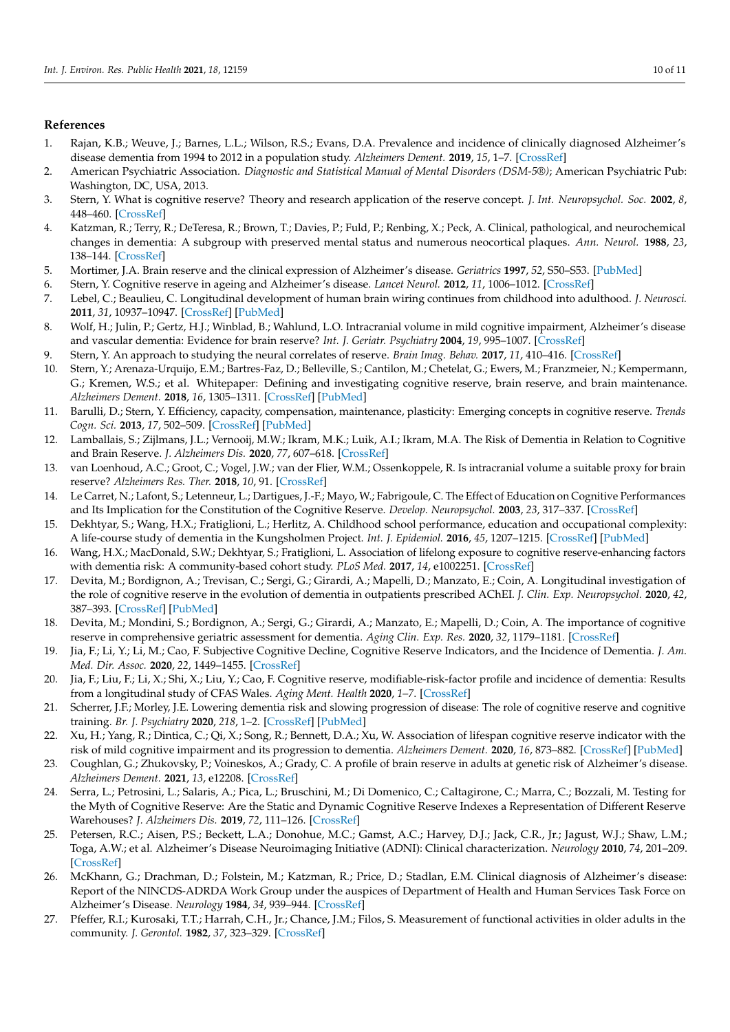## **References**

- <span id="page-9-0"></span>1. Rajan, K.B.; Weuve, J.; Barnes, L.L.; Wilson, R.S.; Evans, D.A. Prevalence and incidence of clinically diagnosed Alzheimer's disease dementia from 1994 to 2012 in a population study. *Alzheimers Dement.* **2019**, *15*, 1–7. [\[CrossRef\]](http://doi.org/10.1016/j.jalz.2018.07.216)
- <span id="page-9-1"></span>2. American Psychiatric Association. *Diagnostic and Statistical Manual of Mental Disorders (DSM-5®)*; American Psychiatric Pub: Washington, DC, USA, 2013.
- <span id="page-9-2"></span>3. Stern, Y. What is cognitive reserve? Theory and research application of the reserve concept. *J. Int. Neuropsychol. Soc.* **2002**, *8*, 448–460. [\[CrossRef\]](http://doi.org/10.1017/S1355617702813248)
- <span id="page-9-3"></span>4. Katzman, R.; Terry, R.; DeTeresa, R.; Brown, T.; Davies, P.; Fuld, P.; Renbing, X.; Peck, A. Clinical, pathological, and neurochemical changes in dementia: A subgroup with preserved mental status and numerous neocortical plaques. *Ann. Neurol.* **1988**, *23*, 138–144. [\[CrossRef\]](http://doi.org/10.1002/ana.410230206)
- <span id="page-9-5"></span>5. Mortimer, J.A. Brain reserve and the clinical expression of Alzheimer's disease. *Geriatrics* **1997**, *52*, S50–S53. [\[PubMed\]](http://www.ncbi.nlm.nih.gov/pubmed/9307589)
- <span id="page-9-4"></span>6. Stern, Y. Cognitive reserve in ageing and Alzheimer's disease. *Lancet Neurol.* **2012**, *11*, 1006–1012. [\[CrossRef\]](http://doi.org/10.1016/S1474-4422(12)70191-6)
- <span id="page-9-6"></span>7. Lebel, C.; Beaulieu, C. Longitudinal development of human brain wiring continues from childhood into adulthood. *J. Neurosci.* **2011**, *31*, 10937–10947. [\[CrossRef\]](http://doi.org/10.1523/JNEUROSCI.5302-10.2011) [\[PubMed\]](http://www.ncbi.nlm.nih.gov/pubmed/21795544)
- <span id="page-9-7"></span>8. Wolf, H.; Julin, P.; Gertz, H.J.; Winblad, B.; Wahlund, L.O. Intracranial volume in mild cognitive impairment, Alzheimer's disease and vascular dementia: Evidence for brain reserve? *Int. J. Geriatr. Psychiatry* **2004**, *19*, 995–1007. [\[CrossRef\]](http://doi.org/10.1002/gps.1205)
- <span id="page-9-8"></span>9. Stern, Y. An approach to studying the neural correlates of reserve. *Brain Imag. Behav.* **2017**, *11*, 410–416. [\[CrossRef\]](http://doi.org/10.1007/s11682-016-9566-x)
- <span id="page-9-9"></span>10. Stern, Y.; Arenaza-Urquijo, E.M.; Bartres-Faz, D.; Belleville, S.; Cantilon, M.; Chetelat, G.; Ewers, M.; Franzmeier, N.; Kempermann, G.; Kremen, W.S.; et al. Whitepaper: Defining and investigating cognitive reserve, brain reserve, and brain maintenance. *Alzheimers Dement.* **2018**, *16*, 1305–1311. [\[CrossRef\]](http://doi.org/10.1016/j.jalz.2018.07.219) [\[PubMed\]](http://www.ncbi.nlm.nih.gov/pubmed/30222945)
- <span id="page-9-10"></span>11. Barulli, D.; Stern, Y. Efficiency, capacity, compensation, maintenance, plasticity: Emerging concepts in cognitive reserve. *Trends Cogn. Sci.* **2013**, *17*, 502–509. [\[CrossRef\]](http://doi.org/10.1016/j.tics.2013.08.012) [\[PubMed\]](http://www.ncbi.nlm.nih.gov/pubmed/24018144)
- <span id="page-9-11"></span>12. Lamballais, S.; Zijlmans, J.L.; Vernooij, M.W.; Ikram, M.K.; Luik, A.I.; Ikram, M.A. The Risk of Dementia in Relation to Cognitive and Brain Reserve. *J. Alzheimers Dis.* **2020**, *77*, 607–618. [\[CrossRef\]](http://doi.org/10.3233/JAD-200264)
- <span id="page-9-12"></span>13. van Loenhoud, A.C.; Groot, C.; Vogel, J.W.; van der Flier, W.M.; Ossenkoppele, R. Is intracranial volume a suitable proxy for brain reserve? *Alzheimers Res. Ther.* **2018**, *10*, 91. [\[CrossRef\]](http://doi.org/10.1186/s13195-018-0408-5)
- <span id="page-9-13"></span>14. Le Carret, N.; Lafont, S.; Letenneur, L.; Dartigues, J.-F.; Mayo, W.; Fabrigoule, C. The Effect of Education on Cognitive Performances and Its Implication for the Constitution of the Cognitive Reserve. *Develop. Neuropsychol.* **2003**, *23*, 317–337. [\[CrossRef\]](http://doi.org/10.1207/S15326942DN2303_1)
- <span id="page-9-14"></span>15. Dekhtyar, S.; Wang, H.X.; Fratiglioni, L.; Herlitz, A. Childhood school performance, education and occupational complexity: A life-course study of dementia in the Kungsholmen Project. *Int. J. Epidemiol.* **2016**, *45*, 1207–1215. [\[CrossRef\]](http://doi.org/10.1093/ije/dyw008) [\[PubMed\]](http://www.ncbi.nlm.nih.gov/pubmed/26968481)
- <span id="page-9-15"></span>16. Wang, H.X.; MacDonald, S.W.; Dekhtyar, S.; Fratiglioni, L. Association of lifelong exposure to cognitive reserve-enhancing factors with dementia risk: A community-based cohort study. *PLoS Med.* **2017**, *14*, e1002251. [\[CrossRef\]](http://doi.org/10.1371/journal.pmed.1002251)
- <span id="page-9-16"></span>17. Devita, M.; Bordignon, A.; Trevisan, C.; Sergi, G.; Girardi, A.; Mapelli, D.; Manzato, E.; Coin, A. Longitudinal investigation of the role of cognitive reserve in the evolution of dementia in outpatients prescribed AChEI. *J. Clin. Exp. Neuropsychol.* **2020**, *42*, 387–393. [\[CrossRef\]](http://doi.org/10.1080/13803395.2020.1737648) [\[PubMed\]](http://www.ncbi.nlm.nih.gov/pubmed/32138597)
- 18. Devita, M.; Mondini, S.; Bordignon, A.; Sergi, G.; Girardi, A.; Manzato, E.; Mapelli, D.; Coin, A. The importance of cognitive reserve in comprehensive geriatric assessment for dementia. *Aging Clin. Exp. Res.* **2020**, *32*, 1179–1181. [\[CrossRef\]](http://doi.org/10.1007/s40520-019-01285-5)
- 19. Jia, F.; Li, Y.; Li, M.; Cao, F. Subjective Cognitive Decline, Cognitive Reserve Indicators, and the Incidence of Dementia. *J. Am. Med. Dir. Assoc.* **2020**, *22*, 1449–1455. [\[CrossRef\]](http://doi.org/10.1016/j.jamda.2020.08.005)
- <span id="page-9-22"></span>20. Jia, F.; Liu, F.; Li, X.; Shi, X.; Liu, Y.; Cao, F. Cognitive reserve, modifiable-risk-factor profile and incidence of dementia: Results from a longitudinal study of CFAS Wales. *Aging Ment. Health* **2020**, *1–7*. [\[CrossRef\]](http://doi.org/10.1080/13607863.2020.1828270)
- 21. Scherrer, J.F.; Morley, J.E. Lowering dementia risk and slowing progression of disease: The role of cognitive reserve and cognitive training. *Br. J. Psychiatry* **2020**, *218*, 1–2. [\[CrossRef\]](http://doi.org/10.1192/bjp.2020.119) [\[PubMed\]](http://www.ncbi.nlm.nih.gov/pubmed/32605685)
- <span id="page-9-23"></span>22. Xu, H.; Yang, R.; Dintica, C.; Qi, X.; Song, R.; Bennett, D.A.; Xu, W. Association of lifespan cognitive reserve indicator with the risk of mild cognitive impairment and its progression to dementia. *Alzheimers Dement.* **2020**, *16*, 873–882. [\[CrossRef\]](http://doi.org/10.1002/alz.12085) [\[PubMed\]](http://www.ncbi.nlm.nih.gov/pubmed/32342664)
- <span id="page-9-17"></span>23. Coughlan, G.; Zhukovsky, P.; Voineskos, A.; Grady, C. A profile of brain reserve in adults at genetic risk of Alzheimer's disease. *Alzheimers Dement.* **2021**, *13*, e12208. [\[CrossRef\]](http://doi.org/10.1002/dad2.12208)
- <span id="page-9-18"></span>24. Serra, L.; Petrosini, L.; Salaris, A.; Pica, L.; Bruschini, M.; Di Domenico, C.; Caltagirone, C.; Marra, C.; Bozzali, M. Testing for the Myth of Cognitive Reserve: Are the Static and Dynamic Cognitive Reserve Indexes a Representation of Different Reserve Warehouses? *J. Alzheimers Dis.* **2019**, *72*, 111–126. [\[CrossRef\]](http://doi.org/10.3233/JAD-190716)
- <span id="page-9-19"></span>25. Petersen, R.C.; Aisen, P.S.; Beckett, L.A.; Donohue, M.C.; Gamst, A.C.; Harvey, D.J.; Jack, C.R., Jr.; Jagust, W.J.; Shaw, L.M.; Toga, A.W.; et al. Alzheimer's Disease Neuroimaging Initiative (ADNI): Clinical characterization. *Neurology* **2010**, *74*, 201–209. [\[CrossRef\]](http://doi.org/10.1212/WNL.0b013e3181cb3e25)
- <span id="page-9-20"></span>26. McKhann, G.; Drachman, D.; Folstein, M.; Katzman, R.; Price, D.; Stadlan, E.M. Clinical diagnosis of Alzheimer's disease: Report of the NINCDS-ADRDA Work Group under the auspices of Department of Health and Human Services Task Force on Alzheimer's Disease. *Neurology* **1984**, *34*, 939–944. [\[CrossRef\]](http://doi.org/10.1212/WNL.34.7.939)
- <span id="page-9-21"></span>27. Pfeffer, R.I.; Kurosaki, T.T.; Harrah, C.H., Jr.; Chance, J.M.; Filos, S. Measurement of functional activities in older adults in the community. *J. Gerontol.* **1982**, *37*, 323–329. [\[CrossRef\]](http://doi.org/10.1093/geronj/37.3.323)